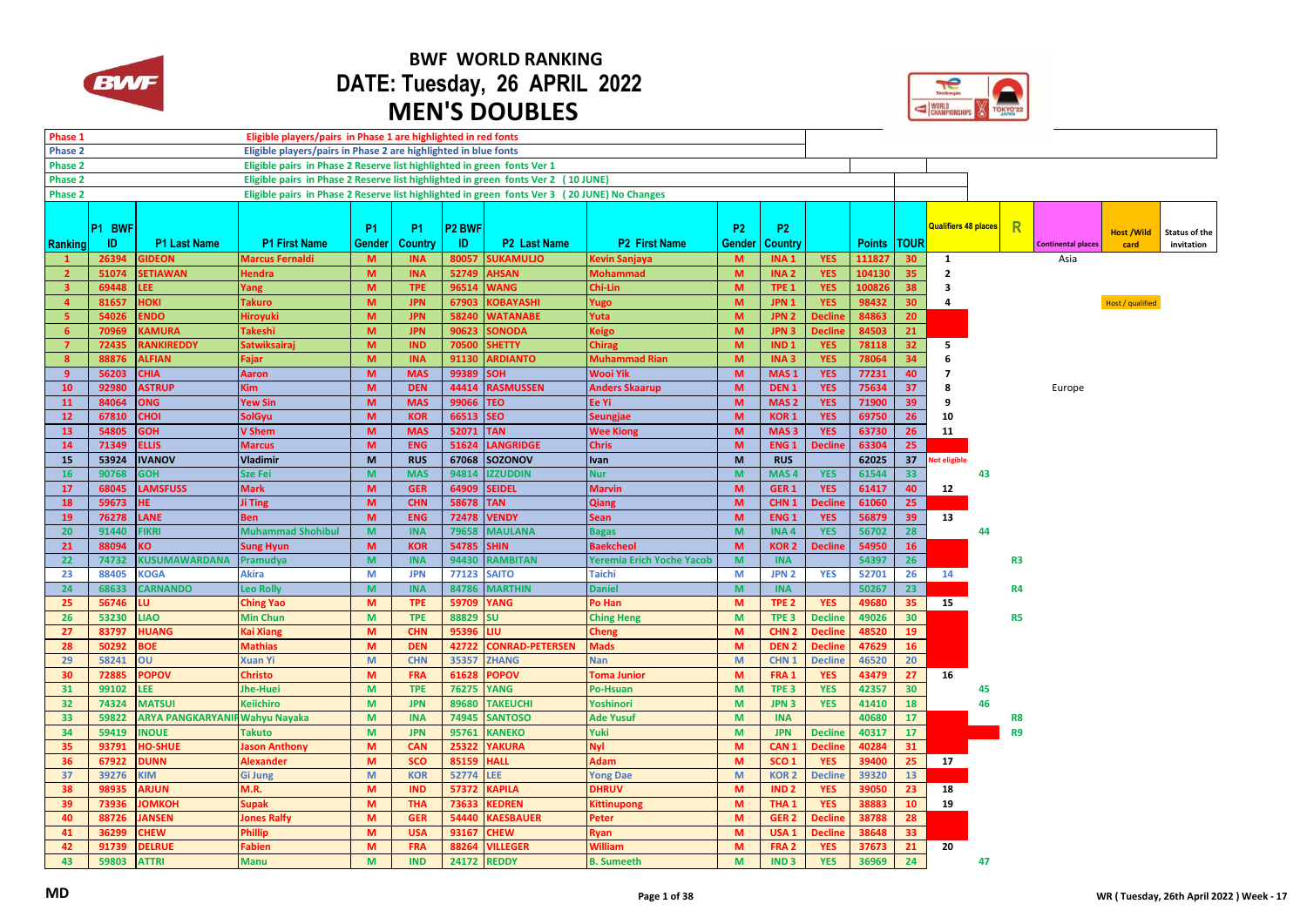

## **BWF WORLD RANKING DATE: Tuesday, 26 APRIL 2022 MEN'S DOUBLES**



| Phase 1                 |        |                                       | Eligible players/pairs in Phase 1 are highlighted in red fonts                               |               |                          |                    |                                 |                                  |                |                                      |                |               |                       |                             |    |                      |                           |                   |                      |
|-------------------------|--------|---------------------------------------|----------------------------------------------------------------------------------------------|---------------|--------------------------|--------------------|---------------------------------|----------------------------------|----------------|--------------------------------------|----------------|---------------|-----------------------|-----------------------------|----|----------------------|---------------------------|-------------------|----------------------|
| Phase 2                 |        |                                       | Eligible players/pairs in Phase 2 are highlighted in blue fonts                              |               |                          |                    |                                 |                                  |                |                                      |                |               |                       |                             |    |                      |                           |                   |                      |
| <b>Phase 2</b>          |        |                                       | Eligible pairs in Phase 2 Reserve list highlighted in green fonts Ver 1                      |               |                          |                    |                                 |                                  |                |                                      |                |               |                       |                             |    |                      |                           |                   |                      |
| <b>Phase 2</b>          |        |                                       | Eligible pairs in Phase 2 Reserve list highlighted in green fonts Ver 2 (10 JUNE)            |               |                          |                    |                                 |                                  |                |                                      |                |               |                       |                             |    |                      |                           |                   |                      |
| <b>Phase 2</b>          |        |                                       | Eligible pairs in Phase 2 Reserve list highlighted in green fonts Ver 3 (20 JUNE) No Changes |               |                          |                    |                                 |                                  |                |                                      |                |               |                       |                             |    |                      |                           |                   |                      |
|                         |        |                                       |                                                                                              |               |                          |                    |                                 |                                  |                |                                      |                |               |                       |                             |    |                      |                           |                   |                      |
|                         |        |                                       |                                                                                              |               |                          |                    |                                 |                                  |                |                                      |                |               |                       | <b>Qualifiers 48 places</b> |    | R                    |                           |                   |                      |
|                         | P1 BWF |                                       |                                                                                              | <b>P1</b>     | <b>P1</b>                | P <sub>2</sub> BWF |                                 |                                  | P <sub>2</sub> | P <sub>2</sub>                       |                |               |                       |                             |    |                      |                           | <b>Host /Wild</b> | <b>Status of the</b> |
| Ranking                 | ID.    | <b>P1 Last Name</b>                   | <b>P1 First Name</b>                                                                         | <b>Gender</b> | <b>Country</b>           | <b>ID</b>          | <b>P2</b> Last Name             | <b>P2 First Name</b>             | <b>Gender</b>  | Country                              |                | <b>Points</b> | <b>TOUR</b>           |                             |    |                      | <b>Continental places</b> | card              | invitation           |
| $\mathbf{1}$            | 26394  | <b>GIDEON</b>                         | <b>Marcus Fernaldi</b>                                                                       | M             | <b>INA</b>               | 80057              | <b>SUKAMULIO</b>                | Kevin Sanjaya                    | M              | INA <sub>1</sub>                     | <b>YES</b>     | 111827        | 30 <sup>°</sup>       | <sup>1</sup>                |    |                      | Asia                      |                   |                      |
| $\overline{2}$          | 51074  | <b>SETIAWAN</b>                       | <b>Hendra</b>                                                                                | M             | <b>INA</b>               | 52749              | <b>AHSAN</b>                    | <b>Mohammad</b>                  | M              | INA <sub>2</sub>                     | <b>YES</b>     | 104130        | 35                    | $\mathbf{2}$                |    |                      |                           |                   |                      |
| $\overline{\mathbf{3}}$ | 69448  | LEE.                                  | Yang                                                                                         | M             | <b>TPE</b>               | 96514              | <b>WANG</b>                     | Chi-Lin                          | M              | TPE <sub>1</sub>                     | <b>YES</b>     | 100826        | 38                    | 3                           |    |                      |                           |                   |                      |
| $\overline{4}$          | 81657  | <b>HOKI</b>                           | <b>Takuro</b>                                                                                | M.            | <b>JPN</b>               | 67903              | KOBAYASHI                       | Yugo                             | M              | JPN <sub>1</sub>                     | <b>YES</b>     | 98432         | 30                    | 4                           |    |                      |                           | Host / qualified  |                      |
| -5                      | 54026  | <b>ENDO</b>                           | Hiroyuki                                                                                     | M.            | <b>JPN</b>               | 58240              | <b>WATANABE</b>                 | Yuta                             | M              | JPN <sub>2</sub>                     | <b>Decline</b> | 84863         | 20 <sup>°</sup>       |                             |    |                      |                           |                   |                      |
| 6                       | 70969  | <b>KAMURA</b>                         | <b>Takeshi</b>                                                                               | M             | <b>JPN</b>               | 90623              | <b>SONODA</b>                   | Keigo                            | M              | JPN <sub>3</sub>                     | <b>Decline</b> | 84503         | 21                    |                             |    |                      |                           |                   |                      |
| $\overline{7}$          | 72435  | <b>RANKIREDDY</b>                     | <b>Satwiksairai</b>                                                                          | M.            | <b>IND</b>               | 70500              | <b>SHETTY</b>                   | <b>Chirag</b>                    | M              | IND <sub>1</sub>                     | <b>YES</b>     | 78118         | 32 <sub>2</sub>       | 5                           |    |                      |                           |                   |                      |
| 8                       | 88876  | <b>ALFIAN</b>                         | Fajar                                                                                        | M             | <b>INA</b>               | 91130              | <b>ARDIANTO</b>                 | <b>Muhammad Rian</b>             | M              | INA <sub>3</sub>                     | <b>YES</b>     | 78064         | 34                    | 6                           |    |                      |                           |                   |                      |
| -9                      | 56203  | <b>CHIA</b>                           | <b>Aaron</b>                                                                                 | M             | <b>MAS</b>               | 99389              | <b>SOH</b>                      | Wooi Yik                         | M              | MAS <sub>1</sub>                     | <b>YES</b>     | 77231         | 40                    | $\overline{7}$              |    |                      |                           |                   |                      |
| 10                      | 92980  | <b>ASTRUP</b>                         | Kim                                                                                          | M             | <b>DEN</b>               | 44414              | <b>RASMUSSEN</b>                | <b>Anders Skaarup</b>            | M              | DEN <sub>1</sub>                     | <b>YES</b>     | 75634         | 37                    | 8                           |    |                      | Europe                    |                   |                      |
| 11                      | 84064  | <b>ONG</b>                            | <b>Yew Sin</b>                                                                               | M             | <b>MAS</b>               | 99066              | <b>TEO</b>                      | Ee Yi                            | M              | MAS <sub>2</sub>                     | <b>YES</b>     | 71900         | 39                    | q                           |    |                      |                           |                   |                      |
| 12                      | 67810  | <b>CHOI</b>                           | <b>SolGyu</b>                                                                                | M             | <b>KOR</b>               | 66513              | <b>SEO</b>                      | <b>Seungjae</b>                  | M              | <b>KOR1</b>                          | <b>YES</b>     | 69750         | 26                    | 10                          |    |                      |                           |                   |                      |
| 13                      | 54805  | <b>GOH</b>                            | <b>V</b> Shem                                                                                | M             | <b>MAS</b>               | 52071              | <b>TAN</b>                      | <b>Wee Kiong</b>                 | M              | MAS <sub>3</sub>                     | <b>YES</b>     | 63730         | 26                    | 11                          |    |                      |                           |                   |                      |
| 14                      | 71349  | <b>ELLIS</b>                          | <b>Marcus</b>                                                                                | M             | <b>ENG</b>               | 51624              | <b>LANGRIDGE</b>                | <b>Chris</b>                     | M              | ENG <sub>1</sub>                     | <b>Decline</b> | 63304         | 25                    |                             |    |                      |                           |                   |                      |
| 15                      | 53924  | <b>IVANOV</b>                         | <b>Vladimir</b>                                                                              | M             | <b>RUS</b>               |                    | 67068 SOZONOV                   | <b>Ivan</b>                      | M              | <b>RUS</b>                           |                | 62025         | 37                    | <b>lot eligible</b>         |    |                      |                           |                   |                      |
| 16                      | 90768  | <b>GOH</b>                            | <b>Sze Fei</b>                                                                               | M             | <b>MAS</b>               | 94814              | <b>IZZUDDIN</b>                 | <b>Nur</b>                       | M              | MAS <sub>4</sub>                     | <b>YES</b>     | 61544         | 33                    |                             | 43 |                      |                           |                   |                      |
| 17                      | 68045  | <b>LAMSFUSS</b>                       | <b>Mark</b>                                                                                  | M             | <b>GER</b>               | 64909              | <b>SEIDEL</b>                   | <b>Marvin</b>                    | M              | GER <sub>1</sub>                     | <b>YES</b>     | 61417         | 40                    | 12                          |    |                      |                           |                   |                      |
| 18                      | 59673  | HE.                                   | Ji Ting                                                                                      | M             | <b>CHN</b>               | 58678              | <b>TAN</b>                      | <b>Qiang</b>                     | M              | CHN <sub>1</sub>                     | <b>Decline</b> | 61060         | 25                    |                             |    |                      |                           |                   |                      |
| 19                      | 76278  | <b>LANE</b>                           | <b>Ben</b>                                                                                   | M             | <b>ENG</b>               | 72478              | <b>VENDY</b>                    | <b>Sean</b>                      | M              | ENG <sub>1</sub>                     | <b>YES</b>     | 56879         | 39                    | 13                          |    |                      |                           |                   |                      |
| 20                      | 91440  | <b>FIKRI</b>                          | <b>Muhammad Shohibul</b>                                                                     | <b>M</b>      | <b>INA</b>               | 79658              | <b>MAULANA</b>                  | <b>Bagas</b>                     | M              | <b>INA4</b>                          | <b>YES</b>     | 56702         | 28                    |                             | 44 |                      |                           |                   |                      |
| 21                      | 88094  | KO.                                   | <b>Sung Hyun</b>                                                                             | M             | <b>KOR</b>               | 54785              | <b>SHIN</b>                     | <b>Baekcheol</b>                 | M              | KOR <sub>2</sub>                     | <b>Decline</b> | 54950         | 16 <sup>°</sup>       |                             |    |                      |                           |                   |                      |
| 22                      | 74732  | KUSUMAWARDANA                         | Pramudya                                                                                     | M             | <b>INA</b>               | 94430              | <b>RAMBITAN</b>                 | <b>Yeremia Erich Yoche Yacob</b> | M              | <b>INA</b>                           |                | 54397         | 26 <sup>°</sup>       |                             |    | R <sub>3</sub>       |                           |                   |                      |
| 23                      | 88405  | <b>KOGA</b>                           | <b>Akira</b>                                                                                 | M             | <b>JPN</b>               | 77123              | <b>SAITO</b>                    | <b>Taichi</b>                    | M              | JPN <sub>2</sub>                     | <b>YES</b>     | 52701         | 26                    | 14                          |    |                      |                           |                   |                      |
| 24                      | 68633  | <b>CARNANDO</b>                       | Leo Rolly                                                                                    | M             | <b>INA</b>               | 84786              | <b>MARTHIN</b>                  | <b>Daniel</b>                    | M              | <b>INA</b>                           |                | 50267         | 23                    |                             |    | R4                   |                           |                   |                      |
| 25                      | 56746  | LU.                                   | <b>Ching Yao</b>                                                                             | M             | <b>TPE</b>               | 59709              | <b>YANG</b>                     | Po Han                           | M              | TPE <sub>2</sub>                     | <b>YES</b>     | 49680         | 35                    | 15                          |    |                      |                           |                   |                      |
| 26                      | 53230  | <b>LIAO</b>                           | <b>Min Chun</b>                                                                              | M             | <b>TPE</b>               | 88829              | <b>SU</b>                       | <b>Ching Heng</b>                | M              | TPE <sub>3</sub>                     | <b>Decline</b> | 49026         | 30                    |                             |    | <b>R5</b>            |                           |                   |                      |
| 27                      | 83797  | <b>HUANG</b>                          | Kai Xiang                                                                                    | M             | <b>CHN</b>               | 95396              | LIU.                            | Cheng                            | M              | CHN <sub>2</sub>                     | <b>Decline</b> | 48520         | 19 <sup>°</sup>       |                             |    |                      |                           |                   |                      |
| 28                      | 50292  | <b>BOE</b>                            | <b>Mathias</b>                                                                               | M             | <b>DEN</b>               | 42722              | <b>CONRAD-PETERSEN</b>          | <b>Mads</b>                      | M              | DEN <sub>2</sub>                     | <b>Decline</b> | 47629         | 16                    |                             |    |                      |                           |                   |                      |
| 29                      | 58241  | OU                                    | <b>Xuan Yi</b>                                                                               | M             | <b>CHN</b>               | 35357              | <b>ZHANG</b>                    | <b>Nan</b>                       | M              | CHN <sub>1</sub>                     | <b>Decline</b> | 46520         | 20                    |                             |    |                      |                           |                   |                      |
| 30                      | 72885  | <b>POPOV</b>                          | <b>Christo</b>                                                                               | M             | <b>FRA</b>               | 61628              | <b>POPOV</b>                    | <b>Toma Junior</b>               | M              | FRA <sub>1</sub>                     | <b>YES</b>     | 43479         | 27                    | 16                          |    |                      |                           |                   |                      |
| 31                      | 99102  | LEE.                                  | Jhe-Huei                                                                                     | M             | <b>TPE</b>               | 76275              | <b>YANG</b>                     | Po-Hsuan                         | M              | TPE <sub>3</sub>                     | <b>YES</b>     | 42357         | 30                    |                             | 45 |                      |                           |                   |                      |
| 32                      | 74324  | <b>MATSUI</b>                         | <b>Keiichiro</b>                                                                             | M             | <b>JPN</b>               | 89680              | <b>TAKEUCHI</b>                 | Yoshinori                        | M              | JPN <sub>3</sub>                     | <b>YES</b>     | 41410         | 18                    |                             | 46 |                      |                           |                   |                      |
| 33                      | 59822  | <b>ARYA PANGKARYANIF Wahyu Nayaka</b> |                                                                                              | M             | <b>INA</b>               | 74945              | <b>SANTOSO</b>                  | <b>Ade Yusuf</b>                 | M              | <b>INA</b>                           |                | 40680         | 17                    |                             |    |                      |                           |                   |                      |
| 34                      | 59419  | <b>INOUE</b>                          | <b>Takuto</b>                                                                                | M             | <b>JPN</b>               | 95761              | <b>KANEKO</b>                   | Yuki                             | M              | <b>JPN</b>                           | <b>Decline</b> | 40317         | 17                    |                             |    | R <sub>8</sub><br>R9 |                           |                   |                      |
| 35                      | 93791  | <b>HO-SHUE</b>                        |                                                                                              | M             | CAN                      | 25322              | <b>YAKURA</b>                   | <b>Nyl</b>                       | M              | CAN <sub>1</sub>                     | <b>Decline</b> | 40284         | 31                    |                             |    |                      |                           |                   |                      |
|                         |        | <b>DUNN</b>                           | Jason Anthony                                                                                | M             | <b>SCO</b>               |                    | <b>HALL</b>                     | <b>Adam</b>                      |                | SCO <sub>1</sub>                     |                |               |                       |                             |    |                      |                           |                   |                      |
| 36<br>37                | 67922  |                                       | <b>Alexander</b>                                                                             |               |                          | 85159              |                                 |                                  | M              |                                      | <b>YES</b>     | 39400         | 25<br>13 <sup>°</sup> | 17                          |    |                      |                           |                   |                      |
|                         | 39276  | <b>KIM</b>                            | <b>Gi Jung</b>                                                                               | M             | <b>KOR</b>               | 52774              | LEE.                            | <b>Yong Dae</b>                  | M              | <b>KOR2</b>                          | <b>Decline</b> | 39320         |                       |                             |    |                      |                           |                   |                      |
| 38                      | 98935  | <b>ARJUN</b>                          | M.R.                                                                                         | M             | <b>IND</b>               | 57372              | <b>KAPILA</b>                   | <b>DHRUV</b>                     | M              | IND <sub>2</sub><br>THA <sub>1</sub> | <b>YES</b>     | 39050         | 23                    | 18                          |    |                      |                           |                   |                      |
| 39                      | 73936  | <b>ЮМКОН</b>                          | <b>Supak</b>                                                                                 | M<br>M        | <b>THA</b><br><b>GER</b> | 73633              | <b>KEDREN</b>                   | <b>Kittinupong</b>               | M              |                                      | <b>YES</b>     | 38883         | 10                    | 19                          |    |                      |                           |                   |                      |
| 40                      | 88726  | <b>ANSEN</b><br><b>CHEW</b>           | <b>Iones Ralfy</b><br><b>Phillip</b>                                                         |               |                          | 54440              | <b>KAESBAUER</b><br><b>CHEW</b> | Peter                            | M<br>M         | GER <sub>2</sub>                     | <b>Decline</b> | 38788         | 28<br>33              |                             |    |                      |                           |                   |                      |
| 41                      | 36299  |                                       |                                                                                              | M<br>M        | <b>USA</b>               | 93167              |                                 | Ryan                             |                | USA <sub>1</sub>                     | <b>Decline</b> | 38648         |                       |                             |    |                      |                           |                   |                      |
| 42                      | 91739  | <b>DELRUE</b>                         | <b>Fabien</b>                                                                                |               | <b>FRA</b>               | 88264              | <b>VILLEGER</b>                 | <b>William</b>                   | M              | FRA <sub>2</sub>                     | <b>YES</b>     | 37673         | 21                    | 20                          |    |                      |                           |                   |                      |
| 43                      | 59803  | <b>ATTRI</b>                          | <b>Manu</b>                                                                                  | M             | <b>IND</b>               |                    | 24172 REDDY                     | <b>B.</b> Sumeeth                | M              | IND <sub>3</sub>                     | <b>YES</b>     | 36969         | 24                    |                             | 47 |                      |                           |                   |                      |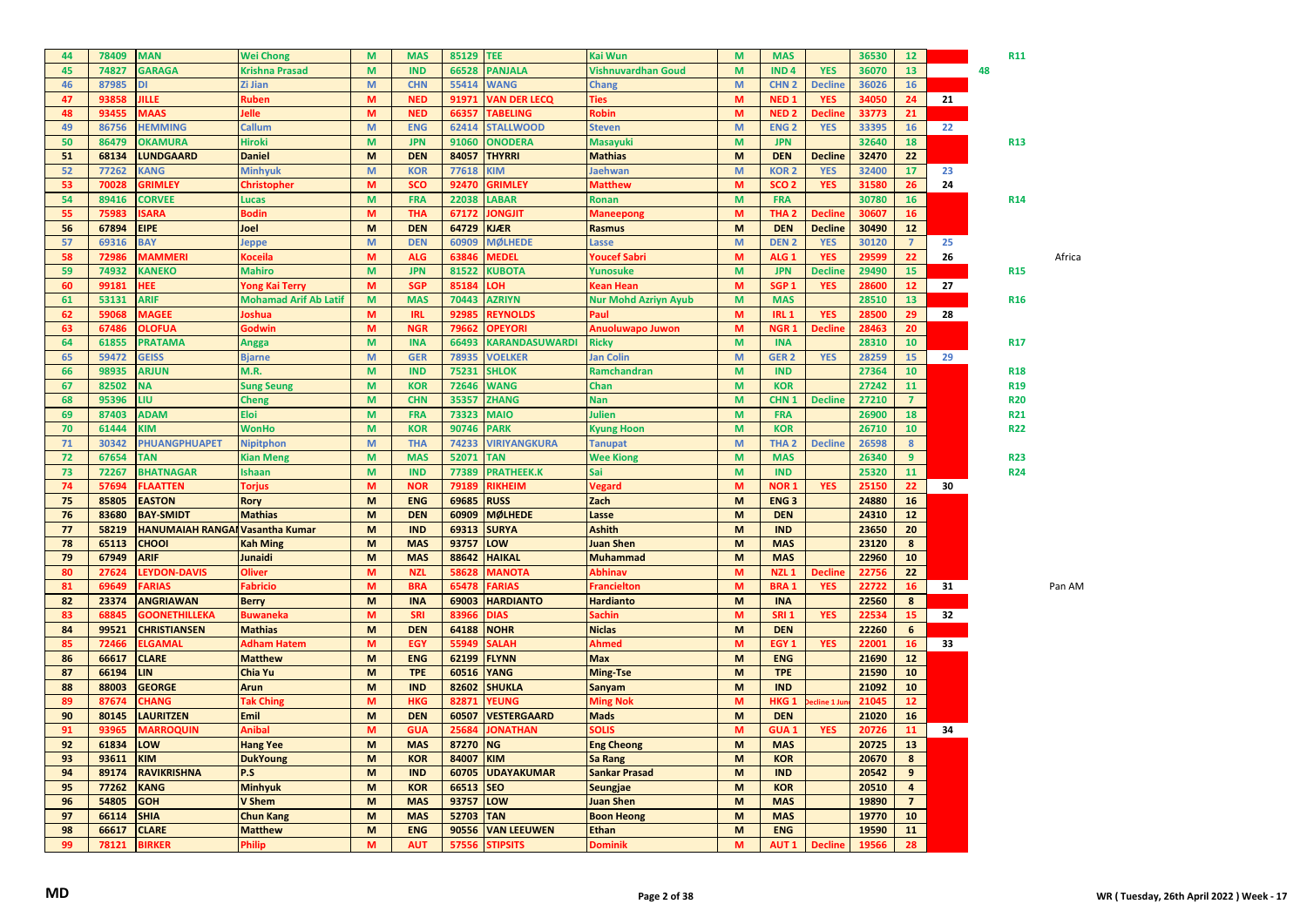| 44       | 78409          | <b>MAN</b>                               | <b>Wei Chong</b>                | M      | <b>MAS</b>               | 85129          | <b>TEE</b>                           | Kai Wun                           | M                                                                                                          | <b>MAS</b>                     |                | 36530          | 12 <sup>2</sup>         |    | <b>R11</b> |        |
|----------|----------------|------------------------------------------|---------------------------------|--------|--------------------------|----------------|--------------------------------------|-----------------------------------|------------------------------------------------------------------------------------------------------------|--------------------------------|----------------|----------------|-------------------------|----|------------|--------|
| 45       | 74827          | <b>GARAGA</b>                            | <b>Krishna Prasad</b>           | M      | <b>IND</b>               | 66528          | <b>PANJALA</b>                       | Vishnuvardhan Goud                | M                                                                                                          | IND <sub>4</sub>               | <b>YES</b>     | 36070          | 13                      |    | 48         |        |
| 46       | 87985          | DI                                       | Zi Jian                         | M      | <b>CHN</b>               | 55414          | <b>WANG</b>                          | <b>Chang</b>                      | $\mathsf{M}% _{T}=\mathsf{M}_{T}\!\left( a,b\right) ,\ \mathsf{M}_{T}=\mathsf{M}_{T}\!\left( a,b\right) ,$ | CHN <sub>2</sub>               | <b>Decline</b> | 36026          | 16                      |    |            |        |
| 47       | 93858          | <b>JILLE</b>                             | Ruben                           | M      | <b>NED</b>               | 91971          | <b>VAN DER LECQ</b>                  | <b>Ties</b>                       | M                                                                                                          | NED <sub>1</sub>               | <b>YES</b>     | 34050          | 24                      | 21 |            |        |
| 48       | 93455          | <b>MAAS</b>                              | lelle                           | M      | <b>NED</b>               | 66357          | <b>TABELING</b>                      | Robin                             | M                                                                                                          | <b>NED<sub>2</sub></b>         | <b>Decline</b> | 33773          | 21                      |    |            |        |
| 49       | 86756          | <b>HEMMING</b>                           | Callum                          | M      | <b>ENG</b>               | 62414          | <b>STALLWOOD</b>                     | <b>Steven</b>                     | $\mathsf{M}% _{T}=\mathsf{M}_{T}\!\left( a,b\right) ,\ \mathsf{M}_{T}=\mathsf{M}_{T}\!\left( a,b\right) ,$ | <b>ENG<sub>2</sub></b>         | <b>YES</b>     | 33395          | 16                      | 22 |            |        |
| 50       | 86479          | <b>OKAMURA</b>                           | Hiroki                          | M      | <b>JPN</b>               | 91060          | <b>ONODERA</b>                       | <b>Masayuki</b>                   | M                                                                                                          | <b>JPN</b>                     |                | 32640          | 18                      |    | R13        |        |
| 51       | 68134          | <b>LUNDGAARD</b>                         | <b>Daniel</b>                   | M      | <b>DEN</b>               | 84057          | <b>THYRRI</b>                        | <b>Mathias</b>                    | M                                                                                                          | <b>DEN</b>                     | <b>Decline</b> | 32470          | 22                      |    |            |        |
| 52       | 77262          | <b>KANG</b>                              | <b>Minhyuk</b>                  | M      | <b>KOR</b>               | 77618          | <b>KIM</b>                           | Jaehwan                           | $\mathsf{M}% _{T}=\mathsf{M}_{T}\!\left( a,b\right) ,\ \mathsf{M}_{T}=\mathsf{M}_{T}\!\left( a,b\right) ,$ | <b>KOR2</b>                    | <b>YES</b>     | 32400          | 17                      | 23 |            |        |
| 53       | 70028          | <b>GRIMLEY</b>                           | Christopher                     | M      | <b>SCO</b>               | 92470          | <b>GRIMLEY</b>                       | <b>Matthew</b>                    | M                                                                                                          | SCO <sub>2</sub>               | <b>YES</b>     | 31580          | 26                      | 24 |            |        |
| 54       | 89416          | <b>CORVEE</b>                            | <b>Lucas</b>                    | M      | <b>FRA</b>               | 22038          | <b>LABAR</b>                         | Ronan                             | M                                                                                                          | <b>FRA</b>                     |                | 30780          | 16                      |    | <b>R14</b> |        |
| 55       | 75983          | <b>ISARA</b>                             | <b>Bodin</b>                    | M      | <b>THA</b>               | 67172          | <b>JONGJIT</b>                       | <b>Maneepong</b>                  | $\mathsf{M}\xspace$                                                                                        | THA <sub>2</sub>               | <b>Decline</b> | 30607          | 16                      |    |            |        |
| 56       | 67894          | <b>EIPE</b>                              | Joel                            | M      | <b>DEN</b>               | 64729          | <b>KJÆR</b>                          | <b>Rasmus</b>                     | M                                                                                                          | <b>DEN</b>                     | <b>Decline</b> | 30490          | 12                      |    |            |        |
| 57       | 69316          | <b>BAY</b>                               | leppe                           | M      | <b>DEN</b>               | 60909          | <b>MØLHEDE</b>                       | Lasse                             | M                                                                                                          | <b>DEN2</b>                    | <b>YES</b>     | 30120          | $\overline{7}$          | 25 |            |        |
| 58       | 72986          |                                          |                                 | M      | <b>ALG</b>               | 63846          | <b>MEDEL</b>                         |                                   | M                                                                                                          | ALG <sub>1</sub>               | <b>YES</b>     | 29599          | 22                      |    |            | Africa |
|          |                | MAMMERI                                  | Koceila                         |        |                          |                |                                      | Youcef Sabri                      |                                                                                                            |                                |                |                |                         | 26 |            |        |
| 59       | 74932<br>99181 | <b>KANEKO</b>                            | <b>Mahiro</b>                   | M<br>M | <b>JPN</b><br><b>SGP</b> | 81522<br>85184 | <b>KUBOTA</b>                        | Yunosuke                          | M<br>M                                                                                                     | <b>JPN</b><br>SGP <sub>1</sub> | <b>Decline</b> | 29490          | 15<br>12                | 27 | <b>R15</b> |        |
| 60       |                | HEE                                      | Yong Kai Terry                  |        |                          |                | <b>OH</b>                            | Kean Hean                         |                                                                                                            |                                | <b>YES</b>     | 28600          |                         |    |            |        |
| 61       | 53131          | <b>ARIF</b>                              | <b>Mohamad Arif Ab Latif</b>    | M      | <b>MAS</b>               | 70443          | <b>AZRIYN</b>                        | <b>Nur Mohd Azriyn Ayub</b>       | M                                                                                                          | <b>MAS</b>                     |                | 28510          | 13                      |    | <b>R16</b> |        |
| 62       | 59068          | <b>MAGEE</b>                             | oshua                           | M      | <b>IRL</b>               | 92985          | <b>REYNOLDS</b>                      | Paul                              | M                                                                                                          | IRL <sub>1</sub>               | <b>YES</b>     | 28500          | 29                      | 28 |            |        |
| 63       | 67486          | <b>OLOFUA</b>                            | Godwin                          | M      | <b>NGR</b>               | 79662          | <b>OPEYORI</b>                       | Anuoluwapo Juwon                  | M                                                                                                          | NGR <sub>1</sub>               | Decline        | 28463          | 20                      |    |            |        |
| 64       | 61855          | <b>PRATAMA</b>                           | <b>Angga</b>                    | M      | <b>INA</b>               | 66493          | <b>KARANDASUWARDI</b>                | <b>Ricky</b>                      | M                                                                                                          | <b>INA</b>                     |                | 28310          | 10 <sub>1</sub>         |    | <b>R17</b> |        |
| 65       | 59472          | <b>GEISS</b>                             | <b>Bjarne</b>                   | M      | <b>GER</b>               | 78935          | <b>VOELKER</b>                       | Jan Colin                         | M                                                                                                          | GER <sub>2</sub>               | <b>YES</b>     | 28259          | 15                      | 29 |            |        |
| 66       | 98935          | <b>ARJUN</b>                             | M.R.                            | M      | <b>IND</b>               | 75231          | <b>SHLOK</b>                         | Ramchandran                       | M                                                                                                          | <b>IND</b>                     |                | 27364          | 10                      |    | <b>R18</b> |        |
| 67       | 82502          | <b>NA</b>                                | <b>Sung Seung</b>               | M      | <b>KOR</b>               | 72646          | <b>WANG</b>                          | Chan                              | M                                                                                                          | <b>KOR</b>                     |                | 27242          | 11                      |    | <b>R19</b> |        |
| 68       | 95396          | LIU                                      | <b>Cheng</b>                    | M      | <b>CHN</b>               | 35357          | <b>ZHANG</b>                         | <b>Nan</b>                        | M                                                                                                          | CHN <sub>1</sub>               | <b>Decline</b> | 27210          | $\overline{7}$          |    | <b>R20</b> |        |
| 69       | 87403          | <b>ADAM</b>                              | <b>Eloi</b>                     | M      | <b>FRA</b>               | 73323          | <b>MAIO</b>                          | Julien                            | M                                                                                                          | <b>FRA</b>                     |                | 26900          | 18                      |    | R21        |        |
| 70       | 61444          | KIM                                      | <b>WonHo</b>                    | M      | <b>KOR</b>               | 90746          | <b>PARK</b>                          | Kyung Hoon                        | M                                                                                                          | <b>KOR</b>                     |                | 26710          | 10 <sub>1</sub>         |    | <b>R22</b> |        |
| 71       | 30342          | <b>PHUANGPHUAPET</b>                     | <b>Nipitphon</b>                | M      | <b>THA</b>               | 74233          | <b>VIRIYANGKURA</b>                  | <b>Tanupat</b>                    | $\mathsf{M}% _{T}=\mathsf{M}_{T}\!\left( a,b\right) ,\ \mathsf{M}_{T}=\mathsf{M}_{T}\!\left( a,b\right) ,$ | THA <sub>2</sub>               | <b>Decline</b> | 26598          | 8                       |    |            |        |
|          |                |                                          |                                 |        |                          |                |                                      |                                   |                                                                                                            |                                |                |                |                         |    |            |        |
| 72       | 67654          | <b>TAN</b>                               | <b>Kian Meng</b>                | M      | <b>MAS</b>               | 52071          | <b>TAN</b>                           | <b>Wee Kiong</b>                  | M                                                                                                          | <b>MAS</b>                     |                | 26340          | 9                       |    | <b>R23</b> |        |
| 73       | 72267          | <b>BHATNAGAR</b>                         | <b>Ishaan</b>                   | M      | <b>IND</b>               | 77389          | <b>PRATHEEK.K</b>                    | Sai                               | M                                                                                                          | <b>IND</b>                     |                | 25320          | 11                      |    | <b>R24</b> |        |
| 74       | 57694          | <b>FLAATTEN</b>                          | <b>Torjus</b>                   | M      | <b>NOR</b>               | 79189          | <b>RIKHEIM</b>                       | Vegard                            | M                                                                                                          | <b>NOR1</b>                    | <b>YES</b>     | 25150          | 22                      | 30 |            |        |
| 75       | 85805          | <b>EASTON</b>                            | Rory                            | M      | <b>ENG</b>               | 69685          | <b>RUSS</b>                          | <b>Zach</b>                       | M                                                                                                          | <b>ENG3</b>                    |                | 24880          | 16                      |    |            |        |
| 76       | 83680          | <b>BAY-SMIDT</b>                         | <b>Mathias</b>                  | M      | <b>DEN</b>               | 60909          | <b>MØLHEDE</b>                       | Lasse                             | M                                                                                                          | <b>DEN</b>                     |                | 24310          | 12                      |    |            |        |
| 77       | 58219          | <b>HANUMAIAH RANGAI Vasantha Kumar</b>   |                                 | M      | <b>IND</b>               | 69313          | <b>SURYA</b>                         | <b>Ashith</b>                     | M                                                                                                          | <b>IND</b>                     |                | 23650          | 20                      |    |            |        |
| 78       | 65113          | CHOOI                                    | <b>Kah Ming</b>                 | M      | <b>MAS</b>               | 93757          | LOW                                  | <b>Juan Shen</b>                  | M                                                                                                          | <b>MAS</b>                     |                | 23120          | 8                       |    |            |        |
| 79       | 67949          | <b>ARIF</b>                              | Junaidi                         | M      | <b>MAS</b>               | 88642          | <b>HAIKAL</b>                        | <b>Muhammad</b>                   | M                                                                                                          | <b>MAS</b>                     |                | 22960          | 10                      |    |            |        |
| 80       | 27624          | <b>LEYDON-DAVIS</b>                      | <b>Oliver</b>                   | M      | <b>NZL</b>               | 58628          | <b>MANOTA</b>                        | Abhinav                           | M                                                                                                          | NZL <sub>1</sub>               | <b>Decline</b> | 22756          | 22                      |    |            |        |
| 81       | 69649          | <b>FARIAS</b>                            | Fabricio                        | M      | <b>BRA</b>               | 65478          | <b>FARIAS</b>                        | <b>Francielton</b>                | M                                                                                                          | <b>BRA1</b>                    | <b>YES</b>     | 22722          | 16                      | 31 |            | Pan AM |
|          |                |                                          |                                 |        |                          |                |                                      |                                   |                                                                                                            |                                |                |                |                         |    |            |        |
| 82<br>83 | 23374<br>68845 | <b>ANGRIAWAN</b><br><b>GOONETHILLEKA</b> | <b>Berry</b><br><b>Buwaneka</b> | M<br>M | <b>INA</b><br><b>SRI</b> | 69003<br>83966 | <b>HARDIANTO</b><br><b>DIAS</b>      | <b>Hardianto</b><br><b>Sachin</b> | M<br>M                                                                                                     | <b>INA</b><br>SRI <sub>1</sub> | <b>YES</b>     | 22560<br>22534 | 8<br>15                 | 32 |            |        |
| 84       |                |                                          | <b>Mathias</b>                  | M      | <b>DEN</b>               | 64188          |                                      |                                   | M                                                                                                          | <b>DEN</b>                     |                |                | 6                       |    |            |        |
| 85       | 99521<br>72466 | <b>CHRISTIANSEN</b><br>ELGAMAL           | <b>Adham Hatem</b>              | M      | <b>EGY</b>               | 55949          | <b>NOHR</b><br><b>SALAH</b>          | <b>Niclas</b><br>Ahmed            | M                                                                                                          | EGY <sub>1</sub>               |                | 22260<br>22001 | 16                      | 33 |            |        |
|          |                |                                          |                                 |        |                          |                |                                      |                                   |                                                                                                            |                                | <b>YES</b>     |                |                         |    |            |        |
| 86       | 66617          | <b>CLARE</b>                             | <b>Matthew</b>                  | M      | <b>ENG</b>               | 62199          | <b>FLYNN</b>                         | <b>Max</b>                        | M                                                                                                          | <b>ENG</b>                     |                | 21690          | 12                      |    |            |        |
| 87       | 66194          | <b>LIN</b>                               | Chia Yu                         | M      | <b>TPE</b>               | 60516          | <b>YANG</b>                          | <b>Ming-Tse</b>                   | M                                                                                                          | <b>TPE</b>                     |                | 21590          | 10                      |    |            |        |
| 88       | 88003          | <b>GEORGE</b>                            | <b>Arun</b>                     | M      | <b>IND</b>               | 82602          | <b>SHUKLA</b>                        | Sanyam                            | M                                                                                                          | <b>IND</b>                     |                | 21092          | 10                      |    |            |        |
| 89       | 87674          | <b>CHANG</b>                             | <b>Tak Ching</b>                | M      | <b>HKG</b>               | 82871          | <b>YEUNG</b>                         | <b>Ming Nok</b>                   | M                                                                                                          | HKG <sub>1</sub>               | cline 1 Ju     | 21045          | 12 <sub>2</sub>         |    |            |        |
| 90       | 80145          | <b>LAURITZEN</b>                         | <b>Emil</b>                     | M      | <b>DEN</b>               | 60507          | <b>VESTERGAARD</b>                   | <b>Mads</b>                       | M                                                                                                          | <b>DEN</b>                     |                | 21020          | 16                      |    |            |        |
| 91       | 93965          | <b>MARROQUIN</b>                         | Anibal                          | M      | <b>GUA</b>               | 25684          | <b>JONATHAN</b>                      | <b>SOLIS</b>                      | M                                                                                                          | <b>GUA1</b>                    | <b>YES</b>     | 20726          | 11                      | 34 |            |        |
| 92       | 61834          | LOW                                      | <b>Hang Yee</b>                 | M      | <b>MAS</b>               | 87270          | <b>NG</b>                            | <b>Eng Cheong</b>                 | M                                                                                                          | <b>MAS</b>                     |                | 20725          | 13                      |    |            |        |
| 93       | 93611          | <b>KIM</b>                               | <b>DukYoung</b>                 | M      | <b>KOR</b>               | 84007          | <b>KIM</b>                           | Sa Rang                           | M                                                                                                          | <b>KOR</b>                     |                | 20670          | 8                       |    |            |        |
| 94       | 89174          | <b>RAVIKRISHNA</b>                       | P.S                             | M      | <b>IND</b>               | 60705          | <b>UDAYAKUMAR</b>                    | <b>Sankar Prasad</b>              | M                                                                                                          | <b>IND</b>                     |                | 20542          | 9                       |    |            |        |
| 95       | 77262          | <b>KANG</b>                              | <b>Minhyuk</b>                  | M      | <b>KOR</b>               | 66513          | <b>SEO</b>                           | <b>Seungjae</b>                   | M                                                                                                          | <b>KOR</b>                     |                | 20510          | $\overline{\mathbf{4}}$ |    |            |        |
| 96       | 54805          | <b>GOH</b>                               | V Shem                          | M      | <b>MAS</b>               | 93757          | LOW                                  | <b>Juan Shen</b>                  | M                                                                                                          | <b>MAS</b>                     |                | 19890          | $\overline{7}$          |    |            |        |
| 97       | 66114          | <b>SHIA</b>                              | <b>Chun Kang</b>                | M      | <b>MAS</b>               | 52703          | <b>TAN</b>                           | <b>Boon Heong</b>                 | M                                                                                                          | <b>MAS</b>                     |                | 19770          | 10                      |    |            |        |
| 98<br>99 | 66617<br>78121 | <b>CLARE</b><br><b>BIRKER</b>            | <b>Matthew</b><br><b>Philip</b> | M<br>M | <b>ENG</b><br><b>AUT</b> | 57556          | 90556 VAN LEEUWEN<br><b>STIPSITS</b> | <b>Ethan</b><br><b>Dominik</b>    | M<br>M                                                                                                     | <b>ENG</b><br>AUT <sub>1</sub> | <b>Decline</b> | 19590<br>19566 | 11<br>28                |    |            |        |